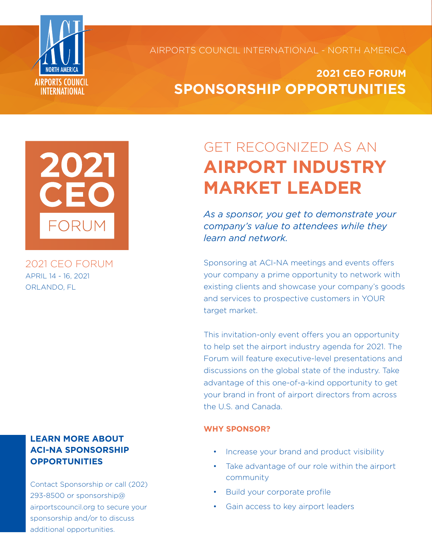

AIRPORTS COUNCIL INTERNATIONAL - NORTH AMERICA

## **2021 CEO FORUM SPONSORSHIP OPPORTUNITIES**



2021 CEO FORUM APRIL 14 - 16, 2021 ORLANDO, FL

### **LEARN MORE ABOUT ACI-NA SPONSORSHIP OPPORTUNITIES**

Contact Sponsorship or call (202) 293-8500 or sponsorship@ airportscouncil.org to secure your sponsorship and/or to discuss additional opportunities.

# GET RECOGNIZED AS AN **AIRPORT INDUSTRY MARKET LEADER**

*As a sponsor, you get to demonstrate your company's value to attendees while they learn and network.*

Sponsoring at ACI-NA meetings and events offers your company a prime opportunity to network with existing clients and showcase your company's goods and services to prospective customers in YOUR target market.

This invitation-only event offers you an opportunity to help set the airport industry agenda for 2021. The Forum will feature executive-level presentations and discussions on the global state of the industry. Take advantage of this one-of-a-kind opportunity to get your brand in front of airport directors from across the U.S. and Canada.

#### **WHY SPONSOR?**

- Increase your brand and product visibility
- Take advantage of our role within the airport community
- Build your corporate profile
- Gain access to key airport leaders